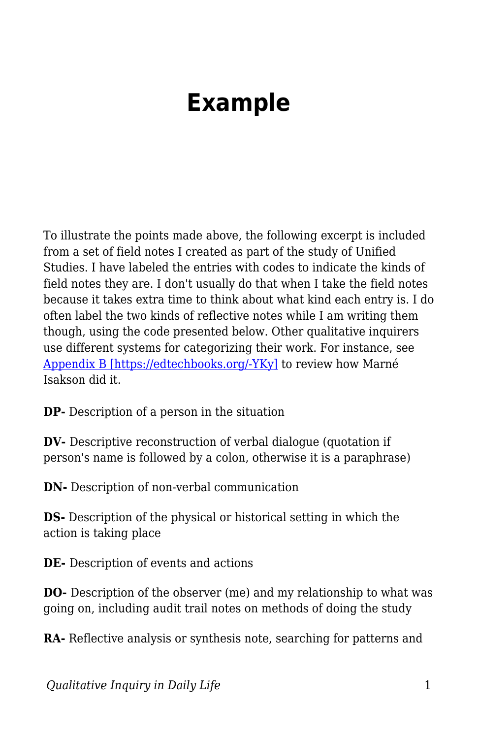## **Example**

To illustrate the points made above, the following excerpt is included from a set of field notes I created as part of the study of Unified Studies. I have labeled the entries with codes to indicate the kinds of field notes they are. I don't usually do that when I take the field notes because it takes extra time to think about what kind each entry is. I do often label the two kinds of reflective notes while I am writing them though, using the code presented below. Other qualitative inquirers use different systems for categorizing their work. For instance, see [Appendix B \[https://edtechbooks.org/-YKy\]](https://edtechbooks.org/qualitativeinquiry/appendixb) to review how Marné Isakson did it.

**DP-** Description of a person in the situation

**DV-** Descriptive reconstruction of verbal dialogue (quotation if person's name is followed by a colon, otherwise it is a paraphrase)

**DN-** Description of non-verbal communication

**DS-** Description of the physical or historical setting in which the action is taking place

**DE-** Description of events and actions

**DO-** Description of the observer (me) and my relationship to what was going on, including audit trail notes on methods of doing the study

**RA-** Reflective analysis or synthesis note, searching for patterns and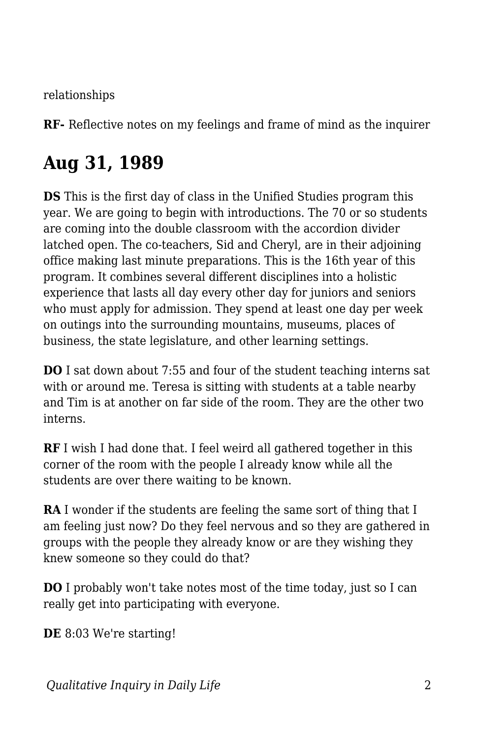relationships

**RF-** Reflective notes on my feelings and frame of mind as the inquirer

## **Aug 31, 1989**

**DS** This is the first day of class in the Unified Studies program this year. We are going to begin with introductions. The 70 or so students are coming into the double classroom with the accordion divider latched open. The co-teachers, Sid and Cheryl, are in their adjoining office making last minute preparations. This is the 16th year of this program. It combines several different disciplines into a holistic experience that lasts all day every other day for juniors and seniors who must apply for admission. They spend at least one day per week on outings into the surrounding mountains, museums, places of business, the state legislature, and other learning settings.

**DO** I sat down about 7:55 and four of the student teaching interns sat with or around me. Teresa is sitting with students at a table nearby and Tim is at another on far side of the room. They are the other two interns.

**RF** I wish I had done that. I feel weird all gathered together in this corner of the room with the people I already know while all the students are over there waiting to be known.

**RA** I wonder if the students are feeling the same sort of thing that I am feeling just now? Do they feel nervous and so they are gathered in groups with the people they already know or are they wishing they knew someone so they could do that?

**DO** I probably won't take notes most of the time today, just so I can really get into participating with everyone.

**DE** 8:03 We're starting!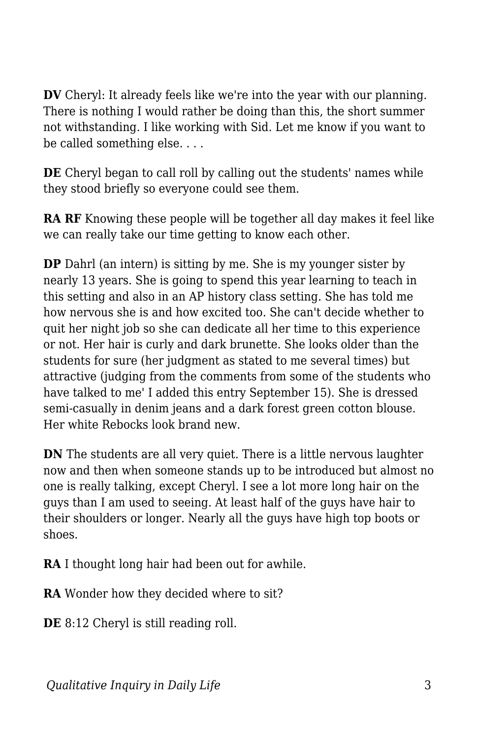**DV** Cheryl: It already feels like we're into the year with our planning. There is nothing I would rather be doing than this, the short summer not withstanding. I like working with Sid. Let me know if you want to be called something else. . . .

**DE** Cheryl began to call roll by calling out the students' names while they stood briefly so everyone could see them.

**RA RF** Knowing these people will be together all day makes it feel like we can really take our time getting to know each other.

**DP** Dahrl (an intern) is sitting by me. She is my younger sister by nearly 13 years. She is going to spend this year learning to teach in this setting and also in an AP history class setting. She has told me how nervous she is and how excited too. She can't decide whether to quit her night job so she can dedicate all her time to this experience or not. Her hair is curly and dark brunette. She looks older than the students for sure (her judgment as stated to me several times) but attractive (judging from the comments from some of the students who have talked to me' I added this entry September 15). She is dressed semi-casually in denim jeans and a dark forest green cotton blouse. Her white Rebocks look brand new.

**DN** The students are all very quiet. There is a little nervous laughter now and then when someone stands up to be introduced but almost no one is really talking, except Cheryl. I see a lot more long hair on the guys than I am used to seeing. At least half of the guys have hair to their shoulders or longer. Nearly all the guys have high top boots or shoes.

**RA** I thought long hair had been out for awhile.

**RA** Wonder how they decided where to sit?

**DE** 8:12 Cheryl is still reading roll.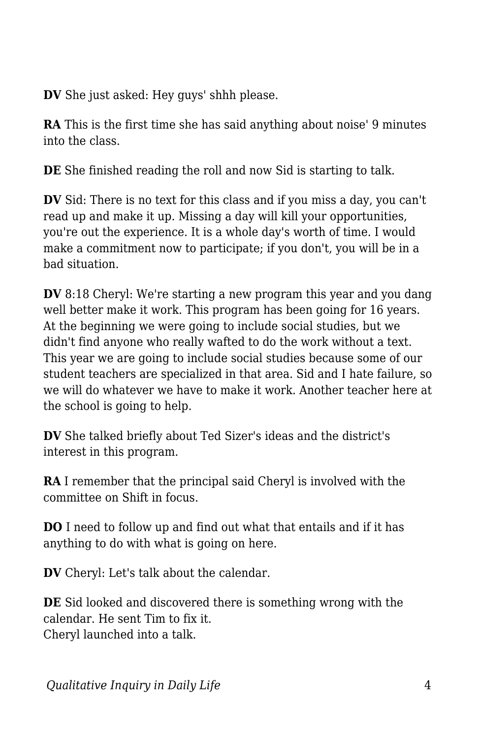**DV** She just asked: Hey guys' shhh please.

**RA** This is the first time she has said anything about noise' 9 minutes into the class.

**DE** She finished reading the roll and now Sid is starting to talk.

**DV** Sid: There is no text for this class and if you miss a day, you can't read up and make it up. Missing a day will kill your opportunities, you're out the experience. It is a whole day's worth of time. I would make a commitment now to participate; if you don't, you will be in a bad situation.

**DV** 8:18 Cheryl: We're starting a new program this year and you dang well better make it work. This program has been going for 16 years. At the beginning we were going to include social studies, but we didn't find anyone who really wafted to do the work without a text. This year we are going to include social studies because some of our student teachers are specialized in that area. Sid and I hate failure, so we will do whatever we have to make it work. Another teacher here at the school is going to help.

**DV** She talked briefly about Ted Sizer's ideas and the district's interest in this program.

**RA** I remember that the principal said Cheryl is involved with the committee on Shift in focus.

**DO** I need to follow up and find out what that entails and if it has anything to do with what is going on here.

**DV** Cheryl: Let's talk about the calendar.

**DE** Sid looked and discovered there is something wrong with the calendar. He sent Tim to fix it. Cheryl launched into a talk.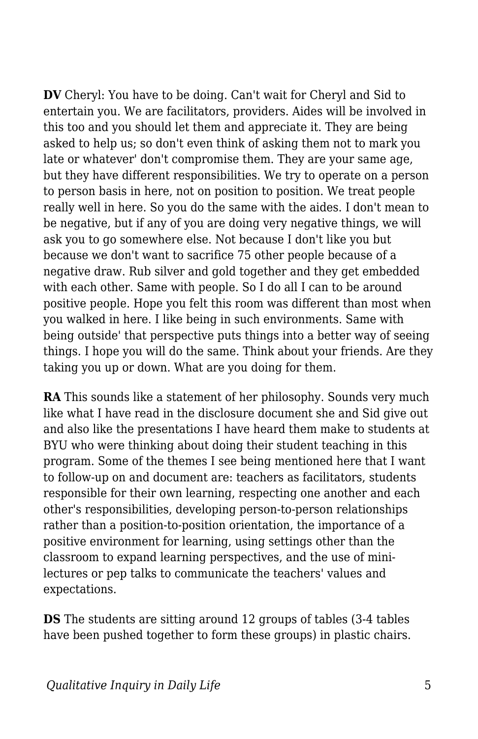**DV** Cheryl: You have to be doing. Can't wait for Cheryl and Sid to entertain you. We are facilitators, providers. Aides will be involved in this too and you should let them and appreciate it. They are being asked to help us; so don't even think of asking them not to mark you late or whatever' don't compromise them. They are your same age, but they have different responsibilities. We try to operate on a person to person basis in here, not on position to position. We treat people really well in here. So you do the same with the aides. I don't mean to be negative, but if any of you are doing very negative things, we will ask you to go somewhere else. Not because I don't like you but because we don't want to sacrifice 75 other people because of a negative draw. Rub silver and gold together and they get embedded with each other. Same with people. So I do all I can to be around positive people. Hope you felt this room was different than most when you walked in here. I like being in such environments. Same with being outside' that perspective puts things into a better way of seeing things. I hope you will do the same. Think about your friends. Are they taking you up or down. What are you doing for them.

**RA** This sounds like a statement of her philosophy. Sounds very much like what I have read in the disclosure document she and Sid give out and also like the presentations I have heard them make to students at BYU who were thinking about doing their student teaching in this program. Some of the themes I see being mentioned here that I want to follow-up on and document are: teachers as facilitators, students responsible for their own learning, respecting one another and each other's responsibilities, developing person-to-person relationships rather than a position-to-position orientation, the importance of a positive environment for learning, using settings other than the classroom to expand learning perspectives, and the use of minilectures or pep talks to communicate the teachers' values and expectations.

**DS** The students are sitting around 12 groups of tables (3-4 tables have been pushed together to form these groups) in plastic chairs.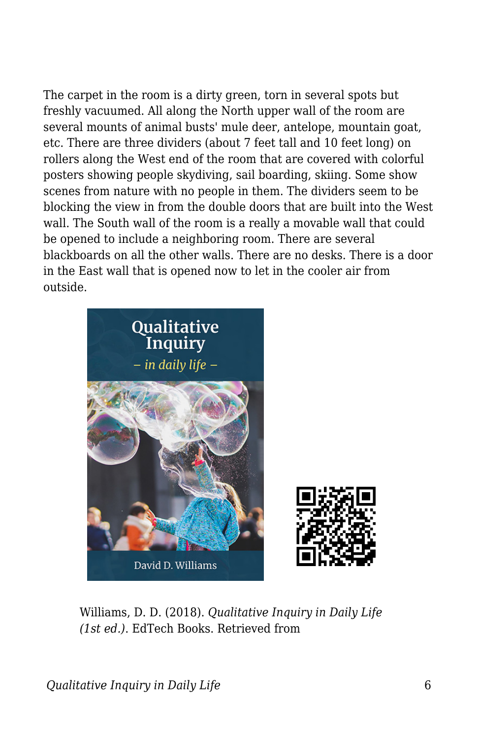The carpet in the room is a dirty green, torn in several spots but freshly vacuumed. All along the North upper wall of the room are several mounts of animal busts' mule deer, antelope, mountain goat, etc. There are three dividers (about 7 feet tall and 10 feet long) on rollers along the West end of the room that are covered with colorful posters showing people skydiving, sail boarding, skiing. Some show scenes from nature with no people in them. The dividers seem to be blocking the view in from the double doors that are built into the West wall. The South wall of the room is a really a movable wall that could be opened to include a neighboring room. There are several blackboards on all the other walls. There are no desks. There is a door in the East wall that is opened now to let in the cooler air from outside.



Williams, D. D. (2018). *Qualitative Inquiry in Daily Life (1st ed.)*. EdTech Books. Retrieved from